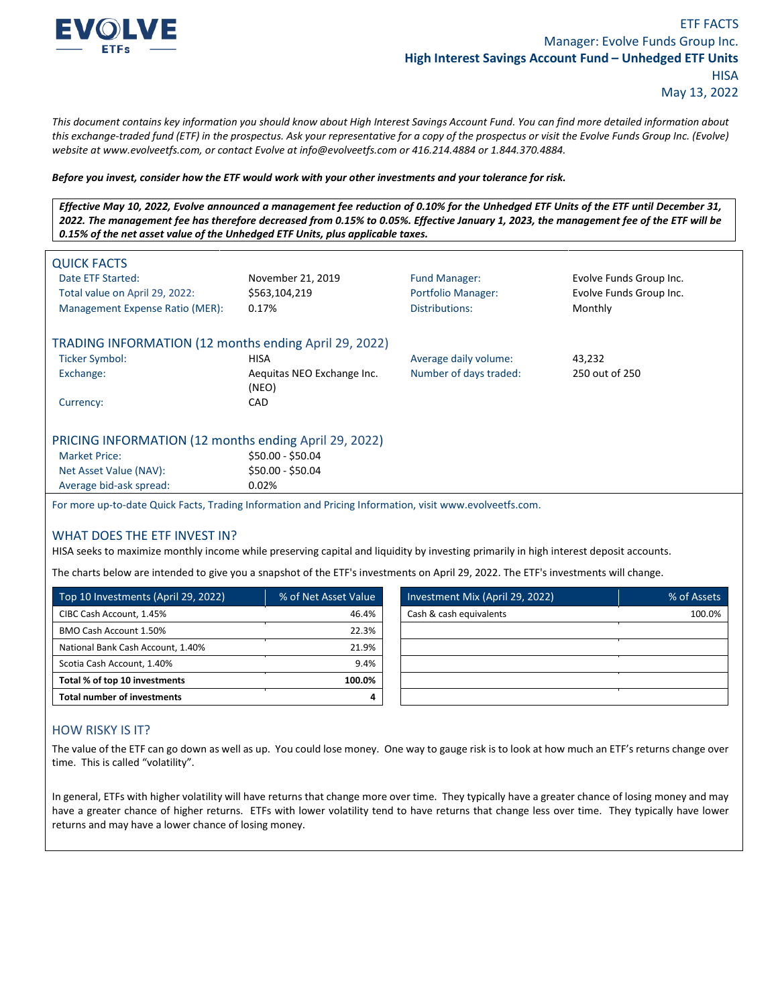

*This document contains key information you should know about High Interest Savings Account Fund. You can find more detailed information about this exchange-traded fund (ETF) in the prospectus. Ask your representative for a copy of the prospectus or visit the Evolve Funds Group Inc. (Evolve) website at www.evolveetfs.com, or contact Evolve at info@evolveetfs.com or 416.214.4884 or 1.844.370.4884.* 

#### *Before you invest, consider how the ETF would work with your other investments and your tolerance for risk.*

*Effective May 10, 2022, Evolve announced a management fee reduction of 0.10% for the Unhedged ETF Units of the ETF until December 31, 2022. The management fee has therefore decreased from 0.15% to 0.05%. Effective January 1, 2023, the management fee of the ETF will be 0.15% of the net asset value of the Unhedged ETF Units, plus applicable taxes.*

| <b>QUICK FACTS</b><br>Date ETF Started:<br>Total value on April 29, 2022:<br>Management Expense Ratio (MER): | November 21, 2019<br>\$563,104,219<br>0.17% | <b>Fund Manager:</b><br><b>Portfolio Manager:</b><br>Distributions: | Evolve Funds Group Inc.<br>Evolve Funds Group Inc.<br>Monthly |
|--------------------------------------------------------------------------------------------------------------|---------------------------------------------|---------------------------------------------------------------------|---------------------------------------------------------------|
| TRADING INFORMATION (12 months ending April 29, 2022)                                                        |                                             |                                                                     |                                                               |
| <b>Ticker Symbol:</b>                                                                                        | HISA                                        | Average daily volume:                                               | 43,232                                                        |
| Exchange:                                                                                                    | Aequitas NEO Exchange Inc.<br>(NEO)         | Number of days traded:                                              | 250 out of 250                                                |
| Currency:                                                                                                    | CAD                                         |                                                                     |                                                               |
| PRICING INFORMATION (12 months ending April 29, 2022)                                                        |                                             |                                                                     |                                                               |
| <b>Market Price:</b>                                                                                         | \$50.00 - \$50.04                           |                                                                     |                                                               |
| Net Asset Value (NAV):                                                                                       | \$50.00 - \$50.04                           |                                                                     |                                                               |
| Average bid-ask spread:                                                                                      | 0.02%                                       |                                                                     |                                                               |
| For more up-to-date Quick Facts, Trading Information and Pricing Information, visit www.evolveetfs.com.      |                                             |                                                                     |                                                               |

### WHAT DOES THE ETF INVEST IN?

HISA seeks to maximize monthly income while preserving capital and liquidity by investing primarily in high interest deposit accounts.

The charts below are intended to give you a snapshot of the ETF's investments on April 29, 2022. The ETF's investments will change.

| Top 10 Investments (April 29, 2022) | % of Net Asset Value | Investment Mix (April 29, 2022) | % of Assets |
|-------------------------------------|----------------------|---------------------------------|-------------|
| CIBC Cash Account, 1.45%            | 46.4%                | Cash & cash equivalents         | 100.0%      |
| BMO Cash Account 1.50%              | 22.3%                |                                 |             |
| National Bank Cash Account, 1.40%   | 21.9%                |                                 |             |
| Scotia Cash Account, 1.40%          | 9.4%                 |                                 |             |
| Total % of top 10 investments       | 100.0%               |                                 |             |
| <b>Total number of investments</b>  |                      |                                 |             |

## HOW RISKY IS IT?

The value of the ETF can go down as well as up. You could lose money. One way to gauge risk is to look at how much an ETF's returns change over time. This is called "volatility".

In general, ETFs with higher volatility will have returns that change more over time. They typically have a greater chance of losing money and may have a greater chance of higher returns. ETFs with lower volatility tend to have returns that change less over time. They typically have lower returns and may have a lower chance of losing money.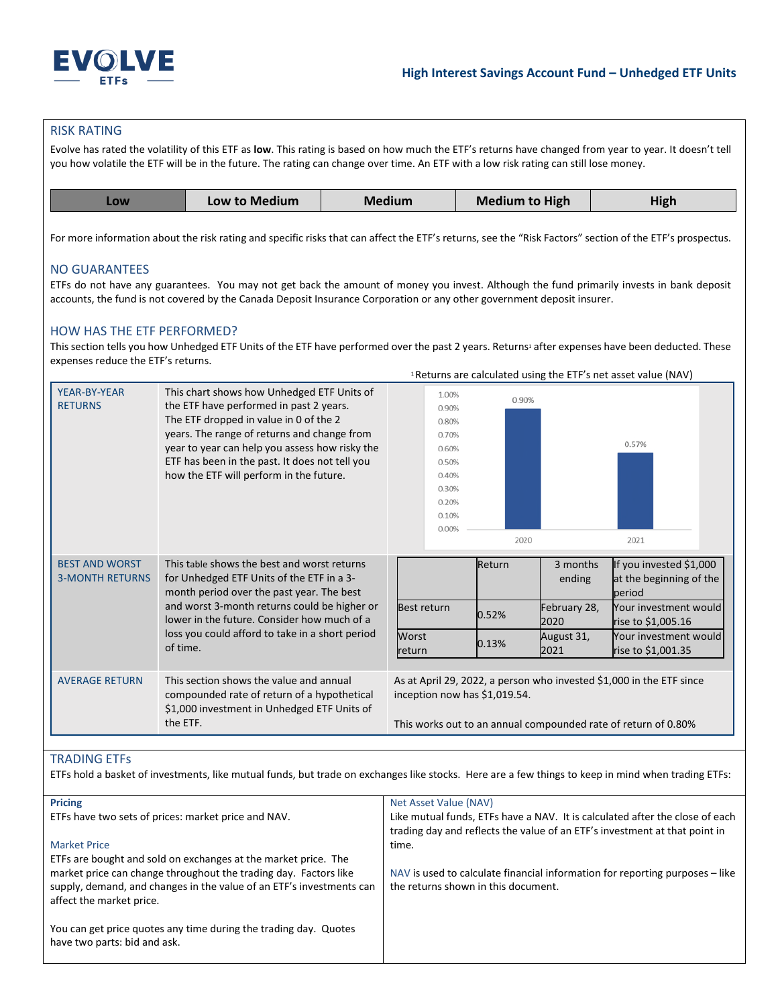

Returns are calculated using the ETF's net asset value (NAV) <sup>1</sup>

### RISK RATING

Evolve has rated the volatility of this ETF as **low**. This rating is based on how much the ETF's returns have changed from year to year. It doesn't tell you how volatile the ETF will be in the future. The rating can change over time. An ETF with a low risk rating can still lose money.

| <b>LOW</b> | Low to Medium | Medium | <b>Medium to High</b> | High |
|------------|---------------|--------|-----------------------|------|
|            |               |        |                       |      |

For more information about the risk rating and specific risks that can affect the ETF's returns, see the "Risk Factors" section of the ETF's prospectus.

### NO GUARANTEES

ETFs do not have any guarantees. You may not get back the amount of money you invest. Although the fund primarily invests in bank deposit accounts, the fund is not covered by the Canada Deposit Insurance Corporation or any other government deposit insurer.

### HOW HAS THE ETF PERFORMED?

This section tells you how Unhedged ETF Units of the ETF have performed over the past 2 years. Returns<sup>1</sup> after expenses have been deducted. These expenses reduce the ETF's returns.

| YEAR-BY-YEAR<br>This chart shows how Unhedged ETF Units of<br>1.00%<br>0.90%<br>the ETF have performed in past 2 years.<br><b>RETURNS</b><br>0.90%<br>The ETF dropped in value in 0 of the 2<br>0.80%<br>years. The range of returns and change from<br>0.70%<br>0.57%<br>year to year can help you assess how risky the<br>0.60%<br>ETF has been in the past. It does not tell you<br>0.50%<br>how the ETF will perform in the future.<br>0.40%<br>0.30%<br>0.20%<br>0.10%<br>0.00%<br>2020<br>2021<br>This table shows the best and worst returns<br><b>BEST AND WORST</b><br>Return<br>If you invested \$1,000<br>3 months<br><b>3-MONTH RETURNS</b><br>for Unhedged ETF Units of the ETF in a 3-<br>at the beginning of the<br>ending<br>month period over the past year. The best<br>period<br>and worst 3-month returns could be higher or<br><b>Best return</b><br>Your investment would |
|-------------------------------------------------------------------------------------------------------------------------------------------------------------------------------------------------------------------------------------------------------------------------------------------------------------------------------------------------------------------------------------------------------------------------------------------------------------------------------------------------------------------------------------------------------------------------------------------------------------------------------------------------------------------------------------------------------------------------------------------------------------------------------------------------------------------------------------------------------------------------------------------------|
|                                                                                                                                                                                                                                                                                                                                                                                                                                                                                                                                                                                                                                                                                                                                                                                                                                                                                                 |
|                                                                                                                                                                                                                                                                                                                                                                                                                                                                                                                                                                                                                                                                                                                                                                                                                                                                                                 |
|                                                                                                                                                                                                                                                                                                                                                                                                                                                                                                                                                                                                                                                                                                                                                                                                                                                                                                 |
|                                                                                                                                                                                                                                                                                                                                                                                                                                                                                                                                                                                                                                                                                                                                                                                                                                                                                                 |
|                                                                                                                                                                                                                                                                                                                                                                                                                                                                                                                                                                                                                                                                                                                                                                                                                                                                                                 |
|                                                                                                                                                                                                                                                                                                                                                                                                                                                                                                                                                                                                                                                                                                                                                                                                                                                                                                 |
|                                                                                                                                                                                                                                                                                                                                                                                                                                                                                                                                                                                                                                                                                                                                                                                                                                                                                                 |
|                                                                                                                                                                                                                                                                                                                                                                                                                                                                                                                                                                                                                                                                                                                                                                                                                                                                                                 |
|                                                                                                                                                                                                                                                                                                                                                                                                                                                                                                                                                                                                                                                                                                                                                                                                                                                                                                 |
|                                                                                                                                                                                                                                                                                                                                                                                                                                                                                                                                                                                                                                                                                                                                                                                                                                                                                                 |
|                                                                                                                                                                                                                                                                                                                                                                                                                                                                                                                                                                                                                                                                                                                                                                                                                                                                                                 |
|                                                                                                                                                                                                                                                                                                                                                                                                                                                                                                                                                                                                                                                                                                                                                                                                                                                                                                 |
|                                                                                                                                                                                                                                                                                                                                                                                                                                                                                                                                                                                                                                                                                                                                                                                                                                                                                                 |
|                                                                                                                                                                                                                                                                                                                                                                                                                                                                                                                                                                                                                                                                                                                                                                                                                                                                                                 |
|                                                                                                                                                                                                                                                                                                                                                                                                                                                                                                                                                                                                                                                                                                                                                                                                                                                                                                 |
|                                                                                                                                                                                                                                                                                                                                                                                                                                                                                                                                                                                                                                                                                                                                                                                                                                                                                                 |
| February 28,<br>0.52%                                                                                                                                                                                                                                                                                                                                                                                                                                                                                                                                                                                                                                                                                                                                                                                                                                                                           |
| lower in the future. Consider how much of a<br>rise to \$1,005.16<br>2020                                                                                                                                                                                                                                                                                                                                                                                                                                                                                                                                                                                                                                                                                                                                                                                                                       |
| loss you could afford to take in a short period<br>Worst<br>Your investment would<br>August 31,<br>0.13%                                                                                                                                                                                                                                                                                                                                                                                                                                                                                                                                                                                                                                                                                                                                                                                        |
| of time.<br>rise to \$1,001.35<br>2021<br>return                                                                                                                                                                                                                                                                                                                                                                                                                                                                                                                                                                                                                                                                                                                                                                                                                                                |
|                                                                                                                                                                                                                                                                                                                                                                                                                                                                                                                                                                                                                                                                                                                                                                                                                                                                                                 |
| This section shows the value and annual<br>As at April 29, 2022, a person who invested \$1,000 in the ETF since<br><b>AVERAGE RETURN</b>                                                                                                                                                                                                                                                                                                                                                                                                                                                                                                                                                                                                                                                                                                                                                        |
| inception now has \$1,019.54.<br>compounded rate of return of a hypothetical                                                                                                                                                                                                                                                                                                                                                                                                                                                                                                                                                                                                                                                                                                                                                                                                                    |
| \$1,000 investment in Unhedged ETF Units of                                                                                                                                                                                                                                                                                                                                                                                                                                                                                                                                                                                                                                                                                                                                                                                                                                                     |
| the ETF.<br>This works out to an annual compounded rate of return of 0.80%                                                                                                                                                                                                                                                                                                                                                                                                                                                                                                                                                                                                                                                                                                                                                                                                                      |
|                                                                                                                                                                                                                                                                                                                                                                                                                                                                                                                                                                                                                                                                                                                                                                                                                                                                                                 |

## TRADING ETFs

ETFs hold a basket of investments, like mutual funds, but trade on exchanges like stocks. Here are a few things to keep in mind when trading ETFs:

| <b>Pricing</b>                                                                                                                                                       | Net Asset Value (NAV)                                                                                               |
|----------------------------------------------------------------------------------------------------------------------------------------------------------------------|---------------------------------------------------------------------------------------------------------------------|
| ETFs have two sets of prices: market price and NAV.                                                                                                                  | Like mutual funds, ETFs have a NAV. It is calculated after the close of each                                        |
|                                                                                                                                                                      | trading day and reflects the value of an ETF's investment at that point in                                          |
| <b>Market Price</b>                                                                                                                                                  | time.                                                                                                               |
| ETFs are bought and sold on exchanges at the market price. The                                                                                                       |                                                                                                                     |
| market price can change throughout the trading day. Factors like<br>supply, demand, and changes in the value of an ETF's investments can<br>affect the market price. | NAV is used to calculate financial information for reporting purposes – like<br>the returns shown in this document. |
| You can get price quotes any time during the trading day. Quotes<br>have two parts: bid and ask.                                                                     |                                                                                                                     |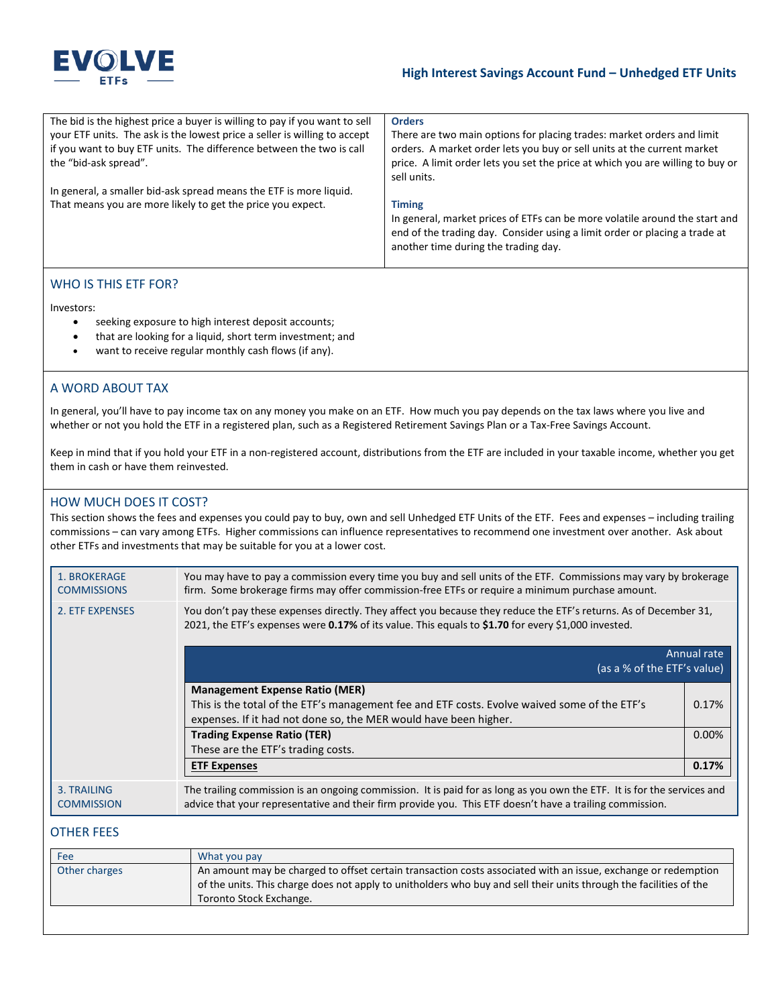

## **High Interest Savings Account Fund – Unhedged ETF Units**

| The bid is the highest price a buyer is willing to pay if you want to sell | <b>Orders</b>                                                                                                                                                                                     |
|----------------------------------------------------------------------------|---------------------------------------------------------------------------------------------------------------------------------------------------------------------------------------------------|
| your ETF units. The ask is the lowest price a seller is willing to accept  | There are two main options for placing trades: market orders and limit                                                                                                                            |
| if you want to buy ETF units. The difference between the two is call       | orders. A market order lets you buy or sell units at the current market                                                                                                                           |
| the "bid-ask spread".                                                      | price. A limit order lets you set the price at which you are willing to buy or                                                                                                                    |
|                                                                            | sell units.                                                                                                                                                                                       |
| In general, a smaller bid-ask spread means the ETF is more liquid.         |                                                                                                                                                                                                   |
| That means you are more likely to get the price you expect.                | <b>Timing</b>                                                                                                                                                                                     |
|                                                                            | In general, market prices of ETFs can be more volatile around the start and<br>end of the trading day. Consider using a limit order or placing a trade at<br>another time during the trading day. |
|                                                                            |                                                                                                                                                                                                   |

# WHO IS THIS ETF FOR?

Investors:

- seeking exposure to high interest deposit accounts;
- that are looking for a liquid, short term investment; and
- want to receive regular monthly cash flows (if any).

## A WORD ABOUT TAX

In general, you'll have to pay income tax on any money you make on an ETF. How much you pay depends on the tax laws where you live and whether or not you hold the ETF in a registered plan, such as a Registered Retirement Savings Plan or a Tax-Free Savings Account.

Keep in mind that if you hold your ETF in a non-registered account, distributions from the ETF are included in your taxable income, whether you get them in cash or have them reinvested.

## HOW MUCH DOES IT COST?

This section shows the fees and expenses you could pay to buy, own and sell Unhedged ETF Units of the ETF. Fees and expenses – including trailing commissions – can vary among ETFs. Higher commissions can influence representatives to recommend one investment over another. Ask about other ETFs and investments that may be suitable for you at a lower cost.

| 1. BROKERAGE<br><b>COMMISSIONS</b> | You may have to pay a commission every time you buy and sell units of the ETF. Commissions may vary by brokerage<br>firm. Some brokerage firms may offer commission-free ETFs or require a minimum purchase amount.                 |             |
|------------------------------------|-------------------------------------------------------------------------------------------------------------------------------------------------------------------------------------------------------------------------------------|-------------|
| 2. ETF EXPENSES                    | You don't pay these expenses directly. They affect you because they reduce the ETF's returns. As of December 31,<br>2021, the ETF's expenses were 0.17% of its value. This equals to \$1.70 for every \$1,000 invested.             |             |
|                                    | (as a % of the ETF's value)                                                                                                                                                                                                         | Annual rate |
|                                    | <b>Management Expense Ratio (MER)</b>                                                                                                                                                                                               |             |
|                                    | This is the total of the ETF's management fee and ETF costs. Evolve waived some of the ETF's<br>expenses. If it had not done so, the MER would have been higher.                                                                    | 0.17%       |
|                                    | <b>Trading Expense Ratio (TER)</b>                                                                                                                                                                                                  | 0.00%       |
|                                    | These are the ETF's trading costs.                                                                                                                                                                                                  |             |
|                                    | <b>ETF Expenses</b>                                                                                                                                                                                                                 | 0.17%       |
| 3. TRAILING<br><b>COMMISSION</b>   | The trailing commission is an ongoing commission. It is paid for as long as you own the ETF. It is for the services and<br>advice that your representative and their firm provide you. This ETF doesn't have a trailing commission. |             |

## OTHER FEES

| Fee           | What you pay                                                                                                                                                                                                                                                   |
|---------------|----------------------------------------------------------------------------------------------------------------------------------------------------------------------------------------------------------------------------------------------------------------|
| Other charges | An amount may be charged to offset certain transaction costs associated with an issue, exchange or redemption<br>of the units. This charge does not apply to unitholders who buy and sell their units through the facilities of the<br>Toronto Stock Exchange. |
|               |                                                                                                                                                                                                                                                                |